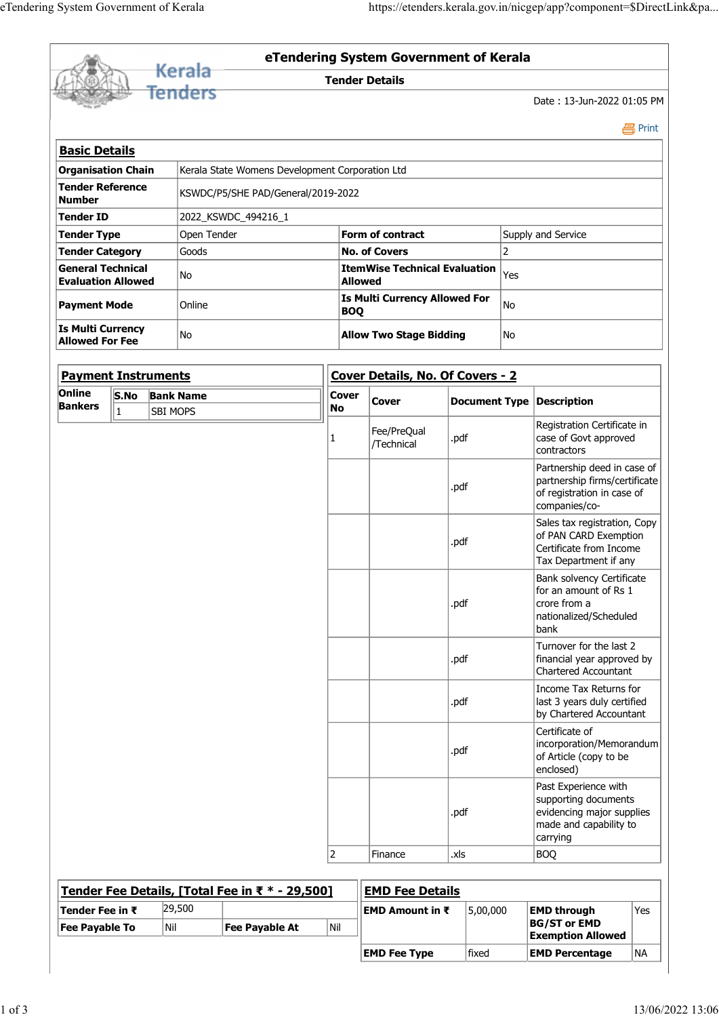|                                                       |                                                    |                 |                                                 |                            |                                                                         |      |    | https://etenders.kerala.gov.in/nicgep/app?component=\$DirectLink&pa |  |  |  |
|-------------------------------------------------------|----------------------------------------------------|-----------------|-------------------------------------------------|----------------------------|-------------------------------------------------------------------------|------|----|---------------------------------------------------------------------|--|--|--|
|                                                       |                                                    |                 |                                                 |                            |                                                                         |      |    |                                                                     |  |  |  |
|                                                       |                                                    |                 |                                                 |                            |                                                                         |      |    |                                                                     |  |  |  |
| eTendering System Government of Kerala                |                                                    |                 |                                                 |                            |                                                                         |      |    |                                                                     |  |  |  |
|                                                       |                                                    |                 |                                                 |                            |                                                                         |      |    |                                                                     |  |  |  |
|                                                       |                                                    |                 |                                                 |                            |                                                                         |      |    |                                                                     |  |  |  |
|                                                       |                                                    |                 |                                                 |                            |                                                                         |      |    |                                                                     |  |  |  |
|                                                       |                                                    |                 |                                                 |                            |                                                                         |      |    |                                                                     |  |  |  |
|                                                       |                                                    |                 |                                                 |                            |                                                                         |      |    |                                                                     |  |  |  |
|                                                       |                                                    |                 |                                                 |                            |                                                                         |      |    |                                                                     |  |  |  |
|                                                       |                                                    |                 |                                                 |                            |                                                                         |      |    |                                                                     |  |  |  |
|                                                       |                                                    |                 |                                                 |                            |                                                                         |      |    |                                                                     |  |  |  |
|                                                       |                                                    |                 |                                                 |                            |                                                                         |      |    |                                                                     |  |  |  |
|                                                       |                                                    |                 |                                                 |                            |                                                                         |      |    |                                                                     |  |  |  |
|                                                       |                                                    |                 | <b>Kerala</b>                                   |                            | eTendering System Government of Kerala                                  |      |    |                                                                     |  |  |  |
| <u>Fenders</u>                                        |                                                    |                 |                                                 | <b>Tender Details</b>      |                                                                         |      |    |                                                                     |  |  |  |
|                                                       |                                                    |                 |                                                 | Date: 13-Jun-2022 01:05 PM |                                                                         |      |    |                                                                     |  |  |  |
|                                                       |                                                    |                 |                                                 |                            |                                                                         |      |    | <b>昌</b> Print                                                      |  |  |  |
| <b>Basic Details</b>                                  |                                                    |                 |                                                 |                            |                                                                         |      |    |                                                                     |  |  |  |
| <b>Organisation Chain</b>                             |                                                    |                 | Kerala State Womens Development Corporation Ltd |                            |                                                                         |      |    |                                                                     |  |  |  |
| Tender Reference<br>Number                            |                                                    |                 | KSWDC/P5/SHE PAD/General/2019-2022              |                            |                                                                         |      |    |                                                                     |  |  |  |
|                                                       | Tender ID                                          |                 | 2022_KSWDC_494216_1                             |                            |                                                                         |      |    |                                                                     |  |  |  |
| Tender Type                                           |                                                    |                 | Open Tender                                     |                            | Form of contract                                                        |      |    | Supply and Service                                                  |  |  |  |
| Tender Category                                       |                                                    |                 | Goods                                           |                            | <b>No. of Covers</b>                                                    |      |    | $\overline{2}$                                                      |  |  |  |
| <b>General Technical</b><br><b>Evaluation Allowed</b> |                                                    |                 | No                                              |                            | <b>ItemWise Technical Evaluation</b> $ _{\text{Yes}}$<br><b>Allowed</b> |      |    |                                                                     |  |  |  |
| <b>Payment Mode</b>                                   |                                                    |                 | Online                                          |                            | <b>Is Multi Currency Allowed For</b><br><b>BOQ</b>                      |      | No |                                                                     |  |  |  |
|                                                       | <b>Is Multi Currency</b><br><b>Allowed For Fee</b> |                 | No                                              |                            | <b>Allow Two Stage Bidding</b>                                          |      | No |                                                                     |  |  |  |
|                                                       |                                                    |                 |                                                 |                            | Cover Details, No. Of Covers - 2                                        |      |    |                                                                     |  |  |  |
|                                                       |                                                    |                 |                                                 |                            |                                                                         |      |    |                                                                     |  |  |  |
| <b>Payment Instruments</b><br>Online                  |                                                    |                 | S.No Bank Name                                  | Cover                      |                                                                         |      |    |                                                                     |  |  |  |
| <b>Bankers</b>                                        | $\mathbf{1}$                                       | <b>SBI MOPS</b> |                                                 | No                         | Cover                                                                   |      |    | Document Type Description                                           |  |  |  |
|                                                       |                                                    |                 |                                                 |                            | Fee/PreQual<br>/Technical                                               | .pdf |    | Registration Certificate in<br>case of Govt approved<br>contractors |  |  |  |

| <b>Payment Instruments</b> |           |                 |                                                 | Cover Details, No. Of Covers - 2 |                           |                           |                                                                                                                 |
|----------------------------|-----------|-----------------|-------------------------------------------------|----------------------------------|---------------------------|---------------------------|-----------------------------------------------------------------------------------------------------------------|
| Online<br><b>Bankers</b>   |           | S.No Bank Name  |                                                 | <b>Cover</b><br>No               | <b>Cover</b>              | Document Type Description |                                                                                                                 |
|                            | $\vert$ 1 | <b>SBI MOPS</b> |                                                 | 1                                | Fee/PreQual<br>/Technical | .pdf                      | Registration Certificate in<br>case of Govt approved<br>contractors                                             |
|                            |           |                 |                                                 |                                  |                           | .pdf                      | Partnership deed in case of<br>partnership firms/certificate<br>of registration in case of<br>companies/co-     |
|                            |           |                 |                                                 |                                  |                           | .pdf                      | Sales tax registration, Copy<br>of PAN CARD Exemption<br>Certificate from Income<br>Tax Department if any       |
|                            |           |                 |                                                 |                                  |                           | .pdf                      | Bank solvency Certificate<br>for an amount of Rs 1<br>crore from a<br>nationalized/Scheduled<br>bank            |
|                            |           |                 |                                                 |                                  |                           | .pdf                      | Turnover for the last 2<br>financial year approved by<br>Chartered Accountant                                   |
|                            |           |                 |                                                 |                                  |                           | .pdf                      | Income Tax Returns for<br>last 3 years duly certified<br>by Chartered Accountant                                |
|                            |           |                 |                                                 |                                  |                           | .pdf                      | Certificate of<br>incorporation/Memorandum<br>of Article (copy to be<br>enclosed)                               |
|                            |           |                 |                                                 |                                  |                           | .pdf                      | Past Experience with<br>supporting documents<br>evidencing major supplies<br>made and capability to<br>carrying |
|                            |           |                 |                                                 | 2                                | Finance                   | .xls                      | <b>BOQ</b>                                                                                                      |
|                            |           |                 | Tender Fee Details, [Total Fee in ₹ * - 29,500] |                                  | <b>EMD Fee Details</b>    |                           |                                                                                                                 |
| Tender Fee in ₹            |           | 29,500          |                                                 |                                  | <b>EMD Amount in ₹</b>    | 5,00,000                  | Yes<br><b>EMD through</b>                                                                                       |
| Fee Payable To             |           | $\vert$ Nil     | <b>Fee Payable At</b>                           | Nil                              |                           |                           | <b>BG/ST or EMD</b><br><b>Exemption Allowed</b>                                                                 |
|                            |           |                 |                                                 |                                  | <b>EMD Fee Type</b>       | fixed                     | <b>EMD Percentage</b><br> NA                                                                                    |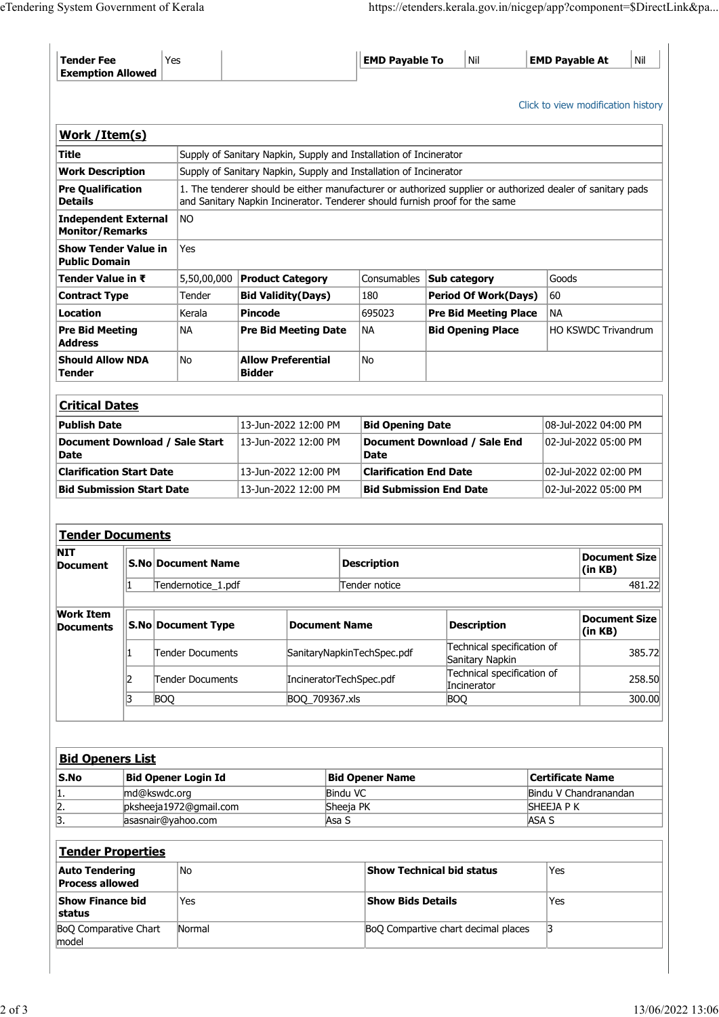| eTendering System Government of Kerala<br>Tender Fee<br><b>Exemption Allowed</b> |                            |                                                   |                                        |                                              |                                                                   |                                                                                                            |                       |                                              |  |  |
|----------------------------------------------------------------------------------|----------------------------|---------------------------------------------------|----------------------------------------|----------------------------------------------|-------------------------------------------------------------------|------------------------------------------------------------------------------------------------------------|-----------------------|----------------------------------------------|--|--|
|                                                                                  |                            |                                                   |                                        |                                              |                                                                   |                                                                                                            |                       |                                              |  |  |
|                                                                                  |                            |                                                   |                                        |                                              |                                                                   |                                                                                                            |                       |                                              |  |  |
|                                                                                  |                            |                                                   |                                        |                                              |                                                                   |                                                                                                            |                       |                                              |  |  |
|                                                                                  |                            |                                                   |                                        |                                              |                                                                   |                                                                                                            |                       |                                              |  |  |
|                                                                                  |                            |                                                   |                                        |                                              |                                                                   |                                                                                                            |                       |                                              |  |  |
|                                                                                  |                            |                                                   |                                        |                                              |                                                                   | https://etenders.kerala.gov.in/nicgep/app?component=\$DirectLink&pa                                        |                       |                                              |  |  |
|                                                                                  |                            |                                                   |                                        |                                              |                                                                   |                                                                                                            |                       |                                              |  |  |
|                                                                                  | Yes                        |                                                   |                                        |                                              | <b>EMD Payable To</b>                                             | $\vert$ Nil                                                                                                | <b>EMD Payable At</b> | Nil                                          |  |  |
|                                                                                  |                            |                                                   |                                        |                                              |                                                                   |                                                                                                            |                       |                                              |  |  |
|                                                                                  |                            |                                                   |                                        |                                              |                                                                   |                                                                                                            |                       | Click to view modification history           |  |  |
| Work / Item(s)                                                                   |                            |                                                   |                                        |                                              |                                                                   |                                                                                                            |                       |                                              |  |  |
| <b>Title</b>                                                                     |                            |                                                   |                                        |                                              | Supply of Sanitary Napkin, Supply and Installation of Incinerator |                                                                                                            |                       |                                              |  |  |
| <b>Work Description</b><br><b>Pre Qualification</b>                              |                            |                                                   |                                        |                                              | Supply of Sanitary Napkin, Supply and Installation of Incinerator | 1. The tenderer should be either manufacturer or authorized supplier or authorized dealer of sanitary pads |                       |                                              |  |  |
| <b>Details</b>                                                                   |                            |                                                   |                                        |                                              |                                                                   | and Sanitary Napkin Incinerator. Tenderer should furnish proof for the same                                |                       |                                              |  |  |
| Independent External NO<br><b>Monitor/Remarks</b>                                |                            |                                                   |                                        |                                              |                                                                   |                                                                                                            |                       |                                              |  |  |
| Show Tender Value in                                                             |                            | Yes                                               |                                        |                                              |                                                                   |                                                                                                            |                       |                                              |  |  |
| <b>Public Domain</b><br>Tender Value in ₹                                        |                            |                                                   |                                        | $5,50,00,000$ Product Category               |                                                                   | Consumables <b>Sub category</b>                                                                            |                       | Goods                                        |  |  |
| <b>Contract Type</b><br>Location                                                 |                            | Tender<br>Kerala                                  | <b>Bid Validity (Days)</b>             |                                              | 180<br>695023                                                     | <b>Period Of Work(Days)</b><br><b>Pre Bid Meeting Place</b>                                                | $ 60\rangle$<br>NA    |                                              |  |  |
| <b>Pre Bid Meeting</b>                                                           |                            | NA                                                | Pincode<br><b>Pre Bid Meeting Date</b> |                                              | NA                                                                | <b>Bid Opening Place</b>                                                                                   |                       | HO KSWDC Trivandrum                          |  |  |
| <b>Address</b><br><b>Should Allow NDA</b>                                        |                            | No                                                | <b>Allow Preferential</b>              |                                              | No                                                                |                                                                                                            |                       |                                              |  |  |
| Tender                                                                           |                            |                                                   | <b>Bidder</b>                          |                                              |                                                                   |                                                                                                            |                       |                                              |  |  |
| <b>Critical Dates</b>                                                            |                            |                                                   |                                        |                                              |                                                                   |                                                                                                            |                       |                                              |  |  |
| <b>Publish Date</b>                                                              |                            |                                                   |                                        | 13-Jun-2022 12:00 PM                         | <b>Bid Opening Date</b>                                           |                                                                                                            |                       | 08-Jul-2022 04:00 PM                         |  |  |
| Document Download / Sale Start<br>Date                                           |                            |                                                   |                                        | 13-Jun-2022 12:00 PM                         | <b>Date</b>                                                       | Document Download / Sale End                                                                               |                       | 02-Jul-2022 05:00 PM                         |  |  |
| <b>Clarification Start Date</b><br><b>Bid Submission Start Date</b>              |                            |                                                   |                                        | 13-Jun-2022 12:00 PM<br>13-Jun-2022 12:00 PM | <b>Clarification End Date</b>                                     | <b>Bid Submission End Date</b>                                                                             |                       | 02-Jul-2022 02:00 PM<br>02-Jul-2022 05:00 PM |  |  |
|                                                                                  |                            |                                                   |                                        |                                              |                                                                   |                                                                                                            |                       |                                              |  |  |
| <b>Tender Documents</b>                                                          |                            |                                                   |                                        |                                              |                                                                   |                                                                                                            |                       |                                              |  |  |
| <b>NIT</b><br>Document                                                           |                            | <b>S.No Document Name</b>                         |                                        |                                              | <b>Description</b>                                                |                                                                                                            |                       | <b>Document Size</b>                         |  |  |
|                                                                                  |                            | Tendernotice_1.pdf                                |                                        |                                              | Tender notice                                                     |                                                                                                            |                       | (in KB)<br>481.22                            |  |  |
| <b>Work Item</b>                                                                 |                            |                                                   |                                        |                                              |                                                                   |                                                                                                            |                       |                                              |  |  |
| <b>Documents</b>                                                                 |                            | <b>S.No Document Type</b><br><b>Document Name</b> |                                        |                                              |                                                                   | <b>Description</b>                                                                                         |                       | <b>Document Size</b><br>(in KB)              |  |  |
|                                                                                  |                            | Tender Documents                                  |                                        | SanitaryNapkinTechSpec.pdf                   |                                                                   | Technical specification of<br>Sanitary Napkin                                                              |                       | 385.72                                       |  |  |
|                                                                                  | כו                         | Tender Documents                                  |                                        | IncineratorTechSpec.pdf                      |                                                                   | Technical specification of<br>Incinerator                                                                  |                       | 258.50                                       |  |  |
|                                                                                  | <b>BOQ</b>                 |                                                   |                                        | BOQ_709367.xls                               |                                                                   | BOQ                                                                                                        |                       | 300.00                                       |  |  |
|                                                                                  |                            |                                                   |                                        |                                              |                                                                   |                                                                                                            |                       |                                              |  |  |
| <b>Bid Openers List</b>                                                          |                            |                                                   |                                        |                                              |                                                                   |                                                                                                            |                       |                                              |  |  |
| $\mathsf{S}.\mathsf{No}$                                                         | <b>Bid Opener Login Id</b> |                                                   |                                        |                                              | <b>Bid Opener Name</b>                                            |                                                                                                            |                       | Certificate Name                             |  |  |
| 1.                                                                               | md@kswdc.org               | pksheeja1972@gmail.com                            |                                        | Bindu VC<br>Sheeja PK                        |                                                                   |                                                                                                            |                       | Bindu V Chandranandan<br>SHEEJA P K          |  |  |
| $\frac{2}{3}$ .                                                                  | asasnair@yahoo.com         |                                                   |                                        | Asa S                                        |                                                                   |                                                                                                            | ASA S                 |                                              |  |  |
| <b>Tender Properties</b>                                                         |                            |                                                   |                                        |                                              |                                                                   |                                                                                                            |                       |                                              |  |  |
| <b>Auto Tendering</b>                                                            |                            | No                                                |                                        |                                              | Show Technical bid status                                         |                                                                                                            | Yes                   |                                              |  |  |
| <b>Process allowed</b><br>Show Finance bid                                       |                            | Yes                                               |                                        |                                              | <b>Show Bids Details</b>                                          |                                                                                                            | Yes                   |                                              |  |  |
|                                                                                  |                            |                                                   |                                        |                                              | BoQ Compartive chart decimal places                               |                                                                                                            |                       | 3                                            |  |  |
| status<br><b>BoQ Comparative Chart</b><br>model                                  |                            | Normal                                            |                                        |                                              |                                                                   |                                                                                                            |                       |                                              |  |  |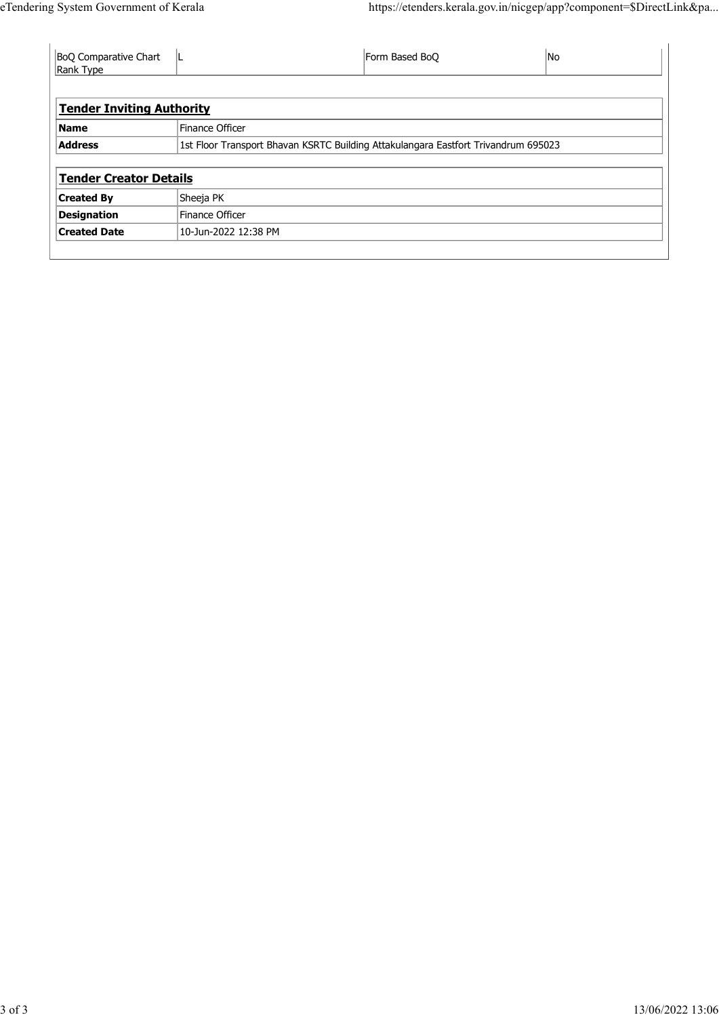| eTendering System Government of Kerala    |                                                                                    | https://etenders.kerala.gov.in/nicgep/app?component=\$DirectLink&pa |                          |  |
|-------------------------------------------|------------------------------------------------------------------------------------|---------------------------------------------------------------------|--------------------------|--|
|                                           |                                                                                    |                                                                     |                          |  |
| BoQ Comparative Chart                     | L.                                                                                 | Form Based BoQ                                                      | $\overline{\mathsf{No}}$ |  |
| Rank Type                                 |                                                                                    |                                                                     |                          |  |
| <b>Tender Inviting Authority</b>          |                                                                                    |                                                                     |                          |  |
| <b>Name</b>                               | Finance Officer                                                                    |                                                                     |                          |  |
| <b>Address</b>                            | 1st Floor Transport Bhavan KSRTC Building Attakulangara Eastfort Trivandrum 695023 |                                                                     |                          |  |
|                                           |                                                                                    |                                                                     |                          |  |
| <b>Tender Creator Details</b>             |                                                                                    |                                                                     |                          |  |
| <b>Created By</b>                         | Sheeja PK                                                                          |                                                                     |                          |  |
| <b>Designation</b><br><b>Created Date</b> | Finance Officer<br>10-Jun-2022 12:38 PM                                            |                                                                     |                          |  |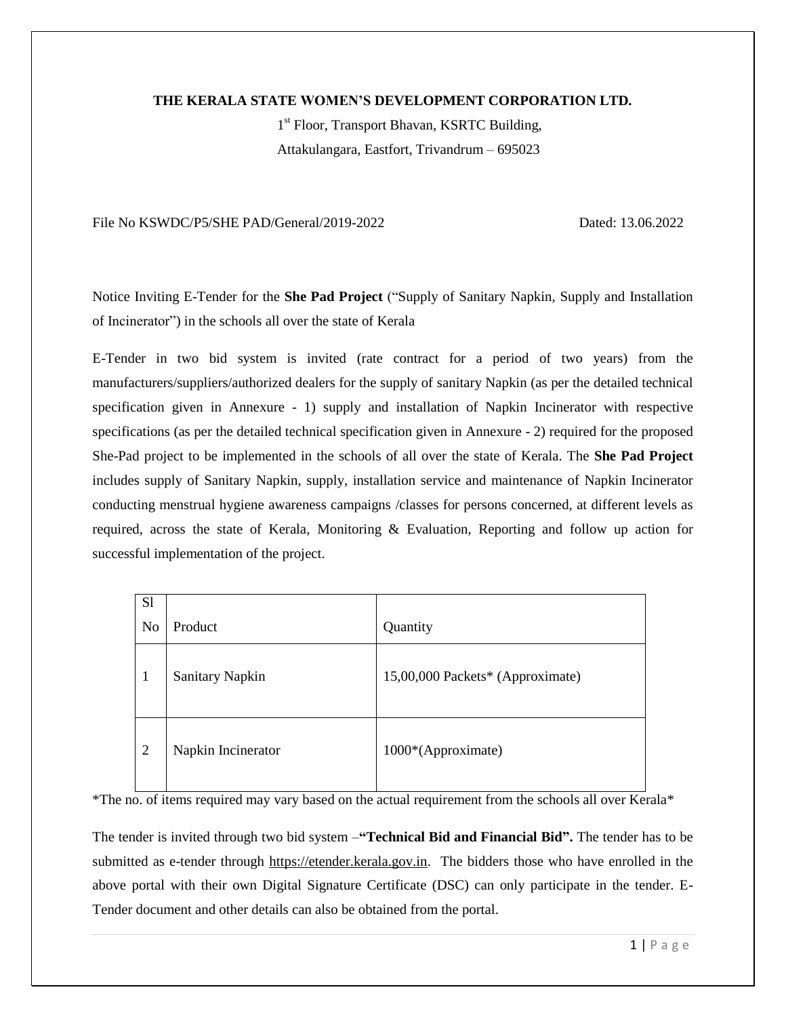### **THE KERALA STATE WOMEN"S DEVELOPMENT CORPORATION LTD.**

1<sup>st</sup> Floor, Transport Bhavan, KSRTC Building, Attakulangara, Eastfort, Trivandrum – 695023

File No KSWDC/P5/SHE PAD/General/2019-2022 Dated: 13.06.2022

Notice Inviting E-Tender for the **She Pad Project** ("Supply of Sanitary Napkin, Supply and Installation of Incinerator") in the schools all over the state of Kerala

E-Tender in two bid system is invited (rate contract for a period of two years) from the manufacturers/suppliers/authorized dealers for the supply of sanitary Napkin (as per the detailed technical specification given in Annexure - 1) supply and installation of Napkin Incinerator with respective specifications (as per the detailed technical specification given in Annexure - 2) required for the proposed She-Pad project to be implemented in the schools of all over the state of Kerala. The **She Pad Project** includes supply of Sanitary Napkin, supply, installation service and maintenance of Napkin Incinerator conducting menstrual hygiene awareness campaigns /classes for persons concerned, at different levels as required, across the state of Kerala, Monitoring & Evaluation, Reporting and follow up action for successful implementation of the project.

| S <sub>1</sub> |                        |                                  |
|----------------|------------------------|----------------------------------|
| No             | Product                | Quantity                         |
| 1              | <b>Sanitary Napkin</b> | 15,00,000 Packets* (Approximate) |
| $\overline{2}$ | Napkin Incinerator     | 1000*(Approximate)               |

\*The no. of items required may vary based on the actual requirement from the schools all over Kerala\*

The tender is invited through two bid system –**"Technical Bid and Financial Bid".** The tender has to be submitted as e-tender through [https://etender.kerala.gov.in.](https://etender.kerala.gov.in/) The bidders those who have enrolled in the above portal with their own Digital Signature Certificate (DSC) can only participate in the tender. E-Tender document and other details can also be obtained from the portal.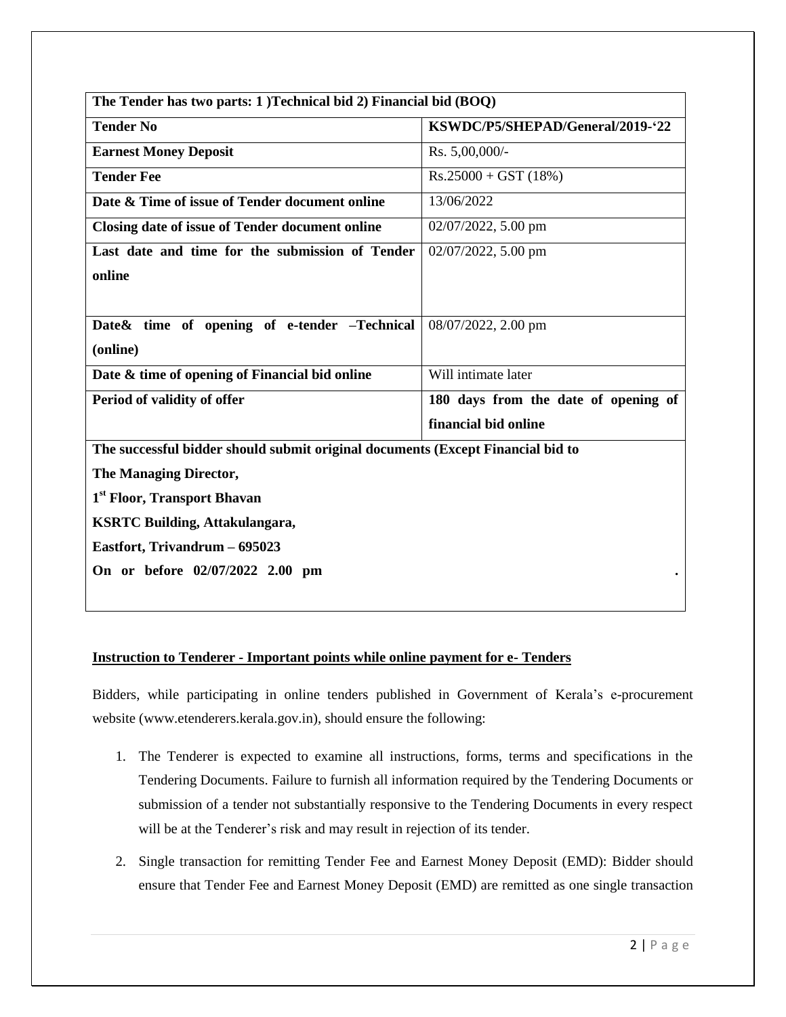| The Tender has two parts: 1) Technical bid 2) Financial bid (BOQ)               |                                      |  |  |  |  |  |
|---------------------------------------------------------------------------------|--------------------------------------|--|--|--|--|--|
| <b>Tender No</b>                                                                | KSWDC/P5/SHEPAD/General/2019-'22     |  |  |  |  |  |
| <b>Earnest Money Deposit</b>                                                    | Rs. 5,00,000/-                       |  |  |  |  |  |
| <b>Tender Fee</b>                                                               | $Rs.25000 + GST (18%)$               |  |  |  |  |  |
| Date & Time of issue of Tender document online                                  | 13/06/2022                           |  |  |  |  |  |
| Closing date of issue of Tender document online                                 | 02/07/2022, 5.00 pm                  |  |  |  |  |  |
| Last date and time for the submission of Tender                                 | 02/07/2022, 5.00 pm                  |  |  |  |  |  |
| online                                                                          |                                      |  |  |  |  |  |
|                                                                                 |                                      |  |  |  |  |  |
| Date & time of opening of e-tender -Technical                                   | 08/07/2022, 2.00 pm                  |  |  |  |  |  |
| (online)                                                                        |                                      |  |  |  |  |  |
| Date & time of opening of Financial bid online                                  | Will intimate later                  |  |  |  |  |  |
| Period of validity of offer                                                     | 180 days from the date of opening of |  |  |  |  |  |
|                                                                                 | financial bid online                 |  |  |  |  |  |
| The successful bidder should submit original documents (Except Financial bid to |                                      |  |  |  |  |  |
| The Managing Director,                                                          |                                      |  |  |  |  |  |
| 1 <sup>st</sup> Floor, Transport Bhavan                                         |                                      |  |  |  |  |  |
| <b>KSRTC Building, Attakulangara,</b>                                           |                                      |  |  |  |  |  |
| Eastfort, Trivandrum - 695023                                                   |                                      |  |  |  |  |  |
| On or before 02/07/2022 2.00 pm                                                 |                                      |  |  |  |  |  |
|                                                                                 |                                      |  |  |  |  |  |

# **Instruction to Tenderer - Important points while online payment for e- Tenders**

Bidders, while participating in online tenders published in Government of Kerala's e-procurement website (www.etenderers.kerala.gov.in), should ensure the following:

- 1. The Tenderer is expected to examine all instructions, forms, terms and specifications in the Tendering Documents. Failure to furnish all information required by the Tendering Documents or submission of a tender not substantially responsive to the Tendering Documents in every respect will be at the Tenderer's risk and may result in rejection of its tender.
- 2. Single transaction for remitting Tender Fee and Earnest Money Deposit (EMD): Bidder should ensure that Tender Fee and Earnest Money Deposit (EMD) are remitted as one single transaction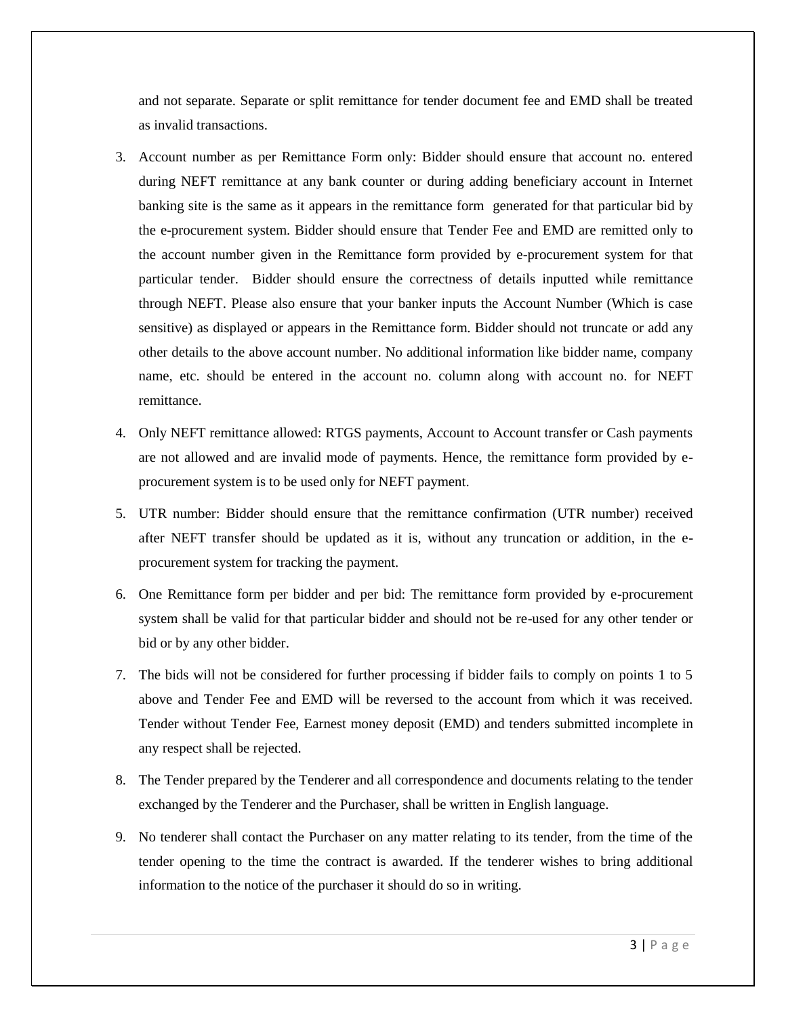and not separate. Separate or split remittance for tender document fee and EMD shall be treated as invalid transactions.

- 3. Account number as per Remittance Form only: Bidder should ensure that account no. entered during NEFT remittance at any bank counter or during adding beneficiary account in Internet banking site is the same as it appears in the remittance form generated for that particular bid by the e-procurement system. Bidder should ensure that Tender Fee and EMD are remitted only to the account number given in the Remittance form provided by e-procurement system for that particular tender. Bidder should ensure the correctness of details inputted while remittance through NEFT. Please also ensure that your banker inputs the Account Number (Which is case sensitive) as displayed or appears in the Remittance form. Bidder should not truncate or add any other details to the above account number. No additional information like bidder name, company name, etc. should be entered in the account no. column along with account no. for NEFT remittance.
- 4. Only NEFT remittance allowed: RTGS payments, Account to Account transfer or Cash payments are not allowed and are invalid mode of payments. Hence, the remittance form provided by eprocurement system is to be used only for NEFT payment.
- 5. UTR number: Bidder should ensure that the remittance confirmation (UTR number) received after NEFT transfer should be updated as it is, without any truncation or addition, in the eprocurement system for tracking the payment.
- 6. One Remittance form per bidder and per bid: The remittance form provided by e-procurement system shall be valid for that particular bidder and should not be re-used for any other tender or bid or by any other bidder.
- 7. The bids will not be considered for further processing if bidder fails to comply on points 1 to 5 above and Tender Fee and EMD will be reversed to the account from which it was received. Tender without Tender Fee, Earnest money deposit (EMD) and tenders submitted incomplete in any respect shall be rejected.
- 8. The Tender prepared by the Tenderer and all correspondence and documents relating to the tender exchanged by the Tenderer and the Purchaser, shall be written in English language.
- 9. No tenderer shall contact the Purchaser on any matter relating to its tender, from the time of the tender opening to the time the contract is awarded. If the tenderer wishes to bring additional information to the notice of the purchaser it should do so in writing.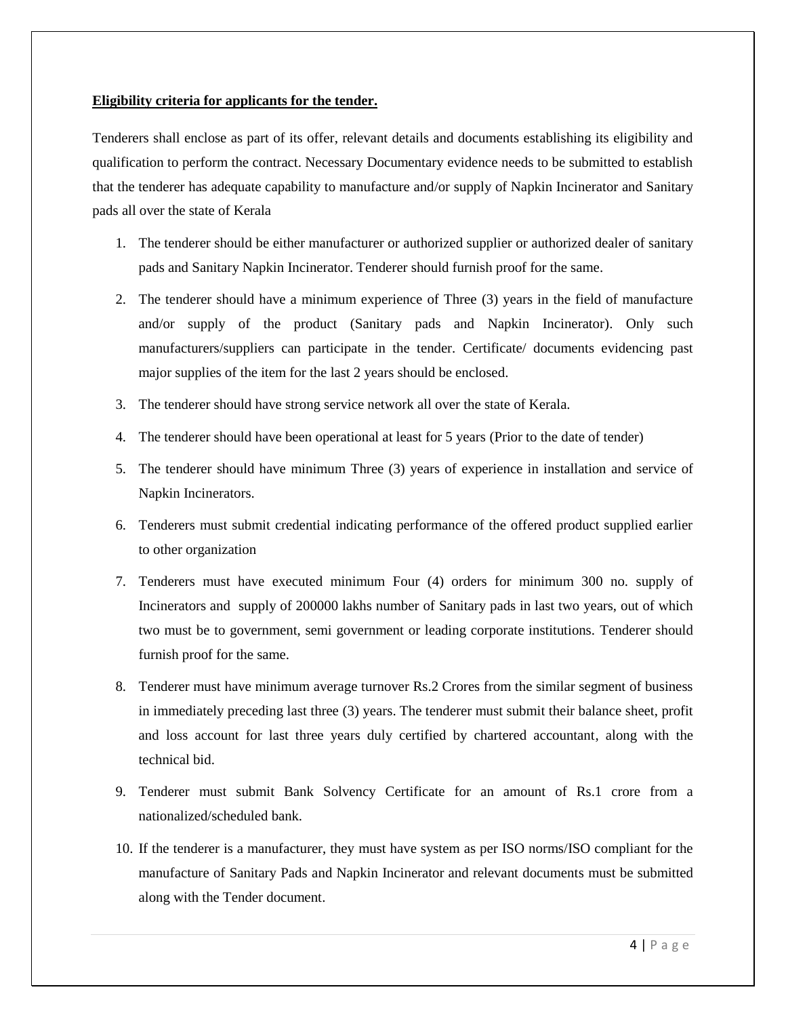### **Eligibility criteria for applicants for the tender.**

Tenderers shall enclose as part of its offer, relevant details and documents establishing its eligibility and qualification to perform the contract. Necessary Documentary evidence needs to be submitted to establish that the tenderer has adequate capability to manufacture and/or supply of Napkin Incinerator and Sanitary pads all over the state of Kerala

- 1. The tenderer should be either manufacturer or authorized supplier or authorized dealer of sanitary pads and Sanitary Napkin Incinerator. Tenderer should furnish proof for the same.
- 2. The tenderer should have a minimum experience of Three (3) years in the field of manufacture and/or supply of the product (Sanitary pads and Napkin Incinerator). Only such manufacturers/suppliers can participate in the tender. Certificate/ documents evidencing past major supplies of the item for the last 2 years should be enclosed.
- 3. The tenderer should have strong service network all over the state of Kerala.
- 4. The tenderer should have been operational at least for 5 years (Prior to the date of tender)
- 5. The tenderer should have minimum Three (3) years of experience in installation and service of Napkin Incinerators.
- 6. Tenderers must submit credential indicating performance of the offered product supplied earlier to other organization
- 7. Tenderers must have executed minimum Four (4) orders for minimum 300 no. supply of Incinerators and supply of 200000 lakhs number of Sanitary pads in last two years, out of which two must be to government, semi government or leading corporate institutions. Tenderer should furnish proof for the same.
- 8. Tenderer must have minimum average turnover Rs.2 Crores from the similar segment of business in immediately preceding last three (3) years. The tenderer must submit their balance sheet, profit and loss account for last three years duly certified by chartered accountant, along with the technical bid.
- 9. Tenderer must submit Bank Solvency Certificate for an amount of Rs.1 crore from a nationalized/scheduled bank.
- 10. If the tenderer is a manufacturer, they must have system as per ISO norms/ISO compliant for the manufacture of Sanitary Pads and Napkin Incinerator and relevant documents must be submitted along with the Tender document.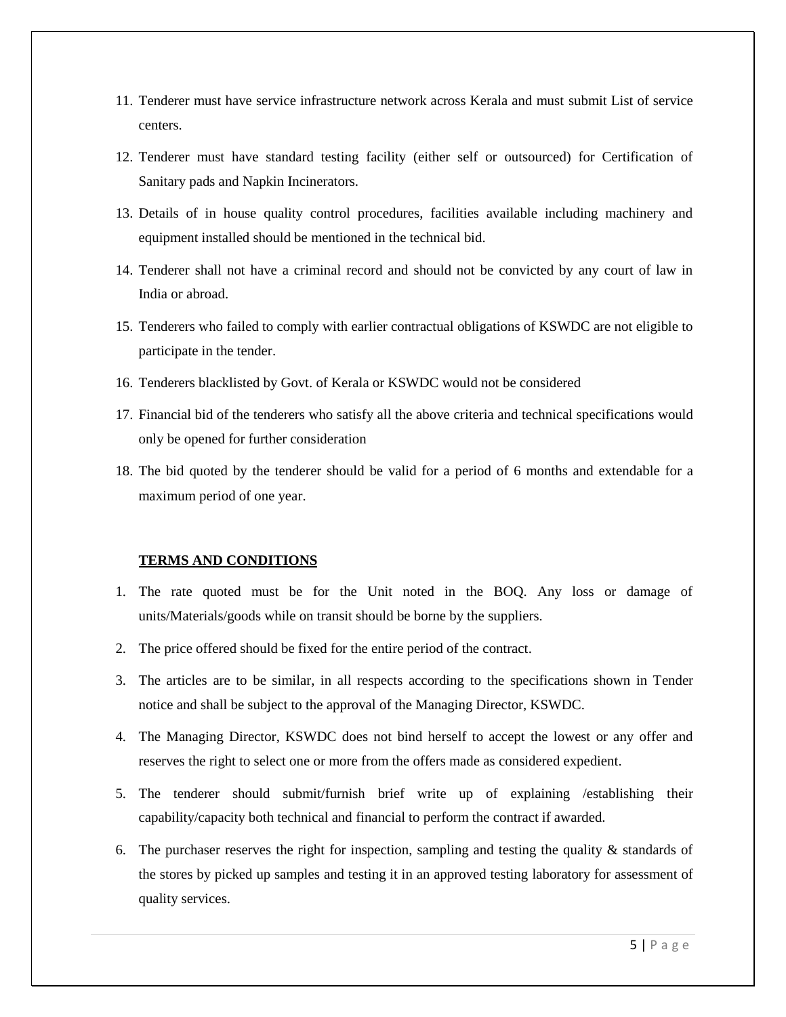- 11. Tenderer must have service infrastructure network across Kerala and must submit List of service centers.
- 12. Tenderer must have standard testing facility (either self or outsourced) for Certification of Sanitary pads and Napkin Incinerators.
- 13. Details of in house quality control procedures, facilities available including machinery and equipment installed should be mentioned in the technical bid.
- 14. Tenderer shall not have a criminal record and should not be convicted by any court of law in India or abroad.
- 15. Tenderers who failed to comply with earlier contractual obligations of KSWDC are not eligible to participate in the tender.
- 16. Tenderers blacklisted by Govt. of Kerala or KSWDC would not be considered
- 17. Financial bid of the tenderers who satisfy all the above criteria and technical specifications would only be opened for further consideration
- 18. The bid quoted by the tenderer should be valid for a period of 6 months and extendable for a maximum period of one year.

#### **TERMS AND CONDITIONS**

- 1. The rate quoted must be for the Unit noted in the BOQ. Any loss or damage of units/Materials/goods while on transit should be borne by the suppliers.
- 2. The price offered should be fixed for the entire period of the contract.
- 3. The articles are to be similar, in all respects according to the specifications shown in Tender notice and shall be subject to the approval of the Managing Director, KSWDC.
- 4. The Managing Director, KSWDC does not bind herself to accept the lowest or any offer and reserves the right to select one or more from the offers made as considered expedient.
- 5. The tenderer should submit/furnish brief write up of explaining /establishing their capability/capacity both technical and financial to perform the contract if awarded.
- 6. The purchaser reserves the right for inspection, sampling and testing the quality  $\&$  standards of the stores by picked up samples and testing it in an approved testing laboratory for assessment of quality services.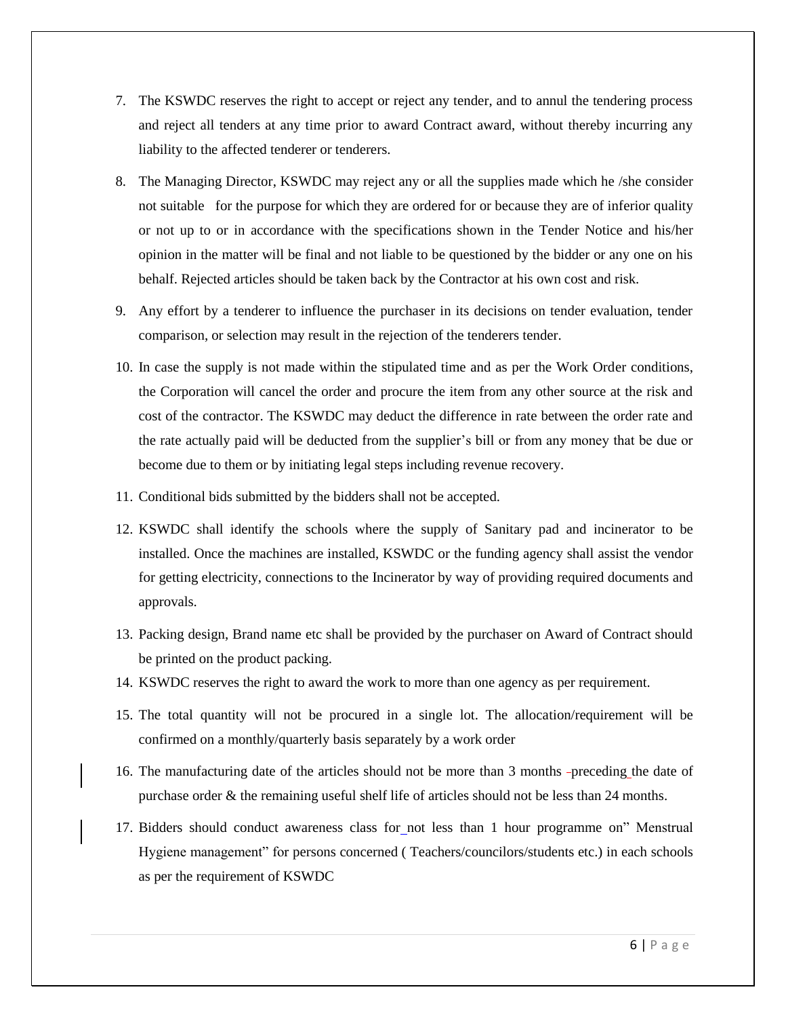- 7. The KSWDC reserves the right to accept or reject any tender, and to annul the tendering process and reject all tenders at any time prior to award Contract award, without thereby incurring any liability to the affected tenderer or tenderers.
- 8. The Managing Director, KSWDC may reject any or all the supplies made which he /she consider not suitable for the purpose for which they are ordered for or because they are of inferior quality or not up to or in accordance with the specifications shown in the Tender Notice and his/her opinion in the matter will be final and not liable to be questioned by the bidder or any one on his behalf. Rejected articles should be taken back by the Contractor at his own cost and risk.
- 9. Any effort by a tenderer to influence the purchaser in its decisions on tender evaluation, tender comparison, or selection may result in the rejection of the tenderers tender.
- 10. In case the supply is not made within the stipulated time and as per the Work Order conditions, the Corporation will cancel the order and procure the item from any other source at the risk and cost of the contractor. The KSWDC may deduct the difference in rate between the order rate and the rate actually paid will be deducted from the supplier's bill or from any money that be due or become due to them or by initiating legal steps including revenue recovery.
- 11. Conditional bids submitted by the bidders shall not be accepted.
- 12. KSWDC shall identify the schools where the supply of Sanitary pad and incinerator to be installed. Once the machines are installed, KSWDC or the funding agency shall assist the vendor for getting electricity, connections to the Incinerator by way of providing required documents and approvals.
- 13. Packing design, Brand name etc shall be provided by the purchaser on Award of Contract should be printed on the product packing.
- 14. KSWDC reserves the right to award the work to more than one agency as per requirement.
- 15. The total quantity will not be procured in a single lot. The allocation/requirement will be confirmed on a monthly/quarterly basis separately by a work order
- 16. The manufacturing date of the articles should not be more than 3 months -preceding the date of purchase order & the remaining useful shelf life of articles should not be less than 24 months.
- 17. Bidders should conduct awareness class for not less than 1 hour programme on" Menstrual Hygiene management" for persons concerned ( Teachers/councilors/students etc.) in each schools as per the requirement of KSWDC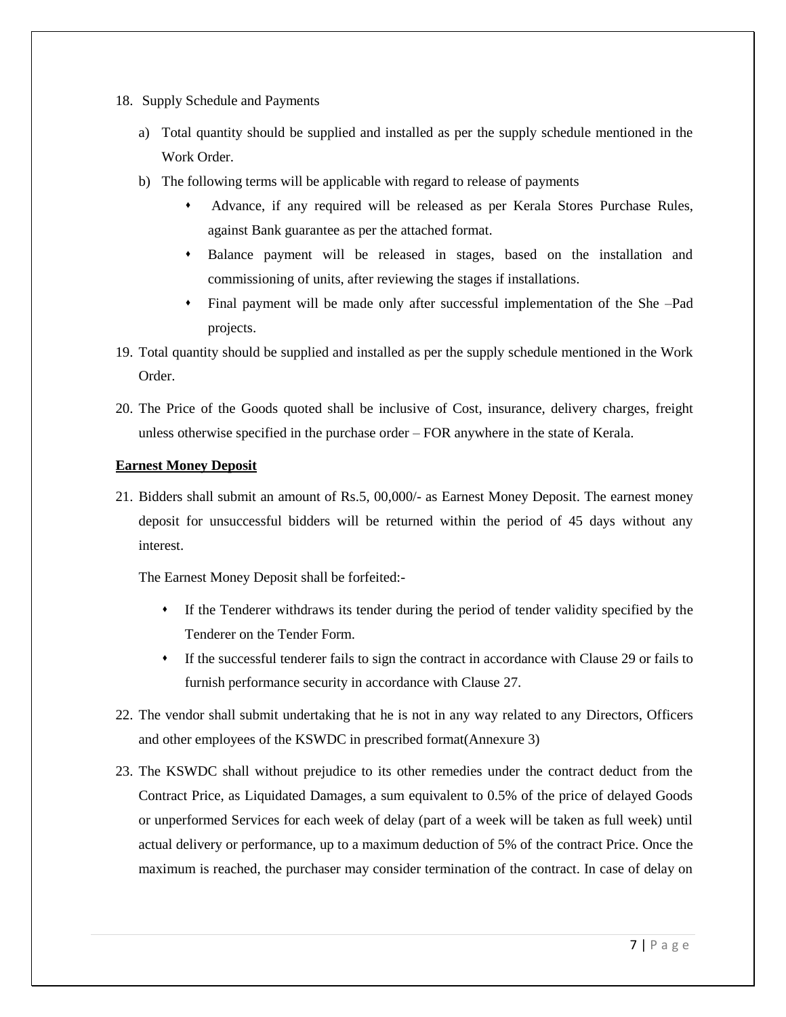- 18. Supply Schedule and Payments
	- a) Total quantity should be supplied and installed as per the supply schedule mentioned in the Work Order.
	- b) The following terms will be applicable with regard to release of payments
		- Advance, if any required will be released as per Kerala Stores Purchase Rules, against Bank guarantee as per the attached format.
		- Balance payment will be released in stages, based on the installation and commissioning of units, after reviewing the stages if installations.
		- Final payment will be made only after successful implementation of the She –Pad projects.
- 19. Total quantity should be supplied and installed as per the supply schedule mentioned in the Work Order.
- 20. The Price of the Goods quoted shall be inclusive of Cost, insurance, delivery charges, freight unless otherwise specified in the purchase order – FOR anywhere in the state of Kerala.

# **Earnest Money Deposit**

21. Bidders shall submit an amount of Rs.5, 00,000/- as Earnest Money Deposit. The earnest money deposit for unsuccessful bidders will be returned within the period of 45 days without any interest.

The Earnest Money Deposit shall be forfeited:-

- If the Tenderer withdraws its tender during the period of tender validity specified by the Tenderer on the Tender Form.
- If the successful tenderer fails to sign the contract in accordance with Clause 29 or fails to furnish performance security in accordance with Clause 27.
- 22. The vendor shall submit undertaking that he is not in any way related to any Directors, Officers and other employees of the KSWDC in prescribed format(Annexure 3)
- 23. The KSWDC shall without prejudice to its other remedies under the contract deduct from the Contract Price, as Liquidated Damages, a sum equivalent to 0.5% of the price of delayed Goods or unperformed Services for each week of delay (part of a week will be taken as full week) until actual delivery or performance, up to a maximum deduction of 5% of the contract Price. Once the maximum is reached, the purchaser may consider termination of the contract. In case of delay on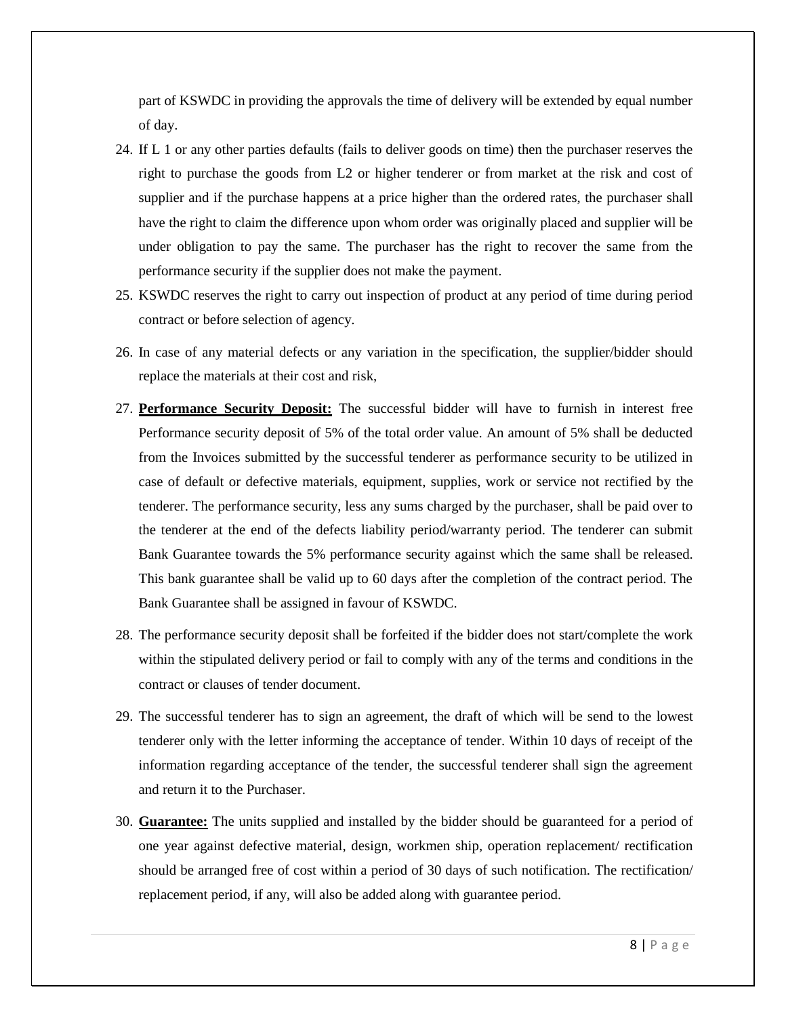part of KSWDC in providing the approvals the time of delivery will be extended by equal number of day.

- 24. If L 1 or any other parties defaults (fails to deliver goods on time) then the purchaser reserves the right to purchase the goods from L2 or higher tenderer or from market at the risk and cost of supplier and if the purchase happens at a price higher than the ordered rates, the purchaser shall have the right to claim the difference upon whom order was originally placed and supplier will be under obligation to pay the same. The purchaser has the right to recover the same from the performance security if the supplier does not make the payment.
- 25. KSWDC reserves the right to carry out inspection of product at any period of time during period contract or before selection of agency.
- 26. In case of any material defects or any variation in the specification, the supplier/bidder should replace the materials at their cost and risk,
- 27. **Performance Security Deposit:** The successful bidder will have to furnish in interest free Performance security deposit of 5% of the total order value. An amount of 5% shall be deducted from the Invoices submitted by the successful tenderer as performance security to be utilized in case of default or defective materials, equipment, supplies, work or service not rectified by the tenderer. The performance security, less any sums charged by the purchaser, shall be paid over to the tenderer at the end of the defects liability period/warranty period. The tenderer can submit Bank Guarantee towards the 5% performance security against which the same shall be released. This bank guarantee shall be valid up to 60 days after the completion of the contract period. The Bank Guarantee shall be assigned in favour of KSWDC.
- 28. The performance security deposit shall be forfeited if the bidder does not start/complete the work within the stipulated delivery period or fail to comply with any of the terms and conditions in the contract or clauses of tender document.
- 29. The successful tenderer has to sign an agreement, the draft of which will be send to the lowest tenderer only with the letter informing the acceptance of tender. Within 10 days of receipt of the information regarding acceptance of the tender, the successful tenderer shall sign the agreement and return it to the Purchaser.
- 30. **Guarantee:** The units supplied and installed by the bidder should be guaranteed for a period of one year against defective material, design, workmen ship, operation replacement/ rectification should be arranged free of cost within a period of 30 days of such notification. The rectification/ replacement period, if any, will also be added along with guarantee period.